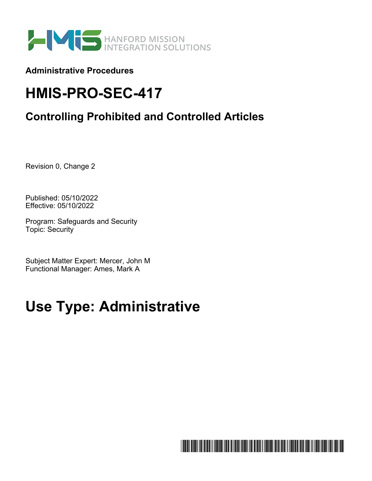

**Administrative Procedures** 

# **HMIS-PRO-SEC-417**

# **Controlling Prohibited and Controlled Articles**

Revision 0, Change 2

Published: 05/10/2022 Effective: 05/10/2022

Program: Safeguards and Security Topic: Security

Subject Matter Expert: Mercer, John M Functional Manager: Ames, Mark A

# **Use Type: Administrative**

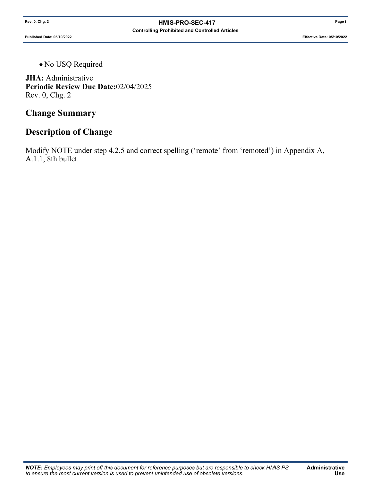**Published Date: 05/10/2022 Effective Date: 05/10/2022**

No USQ Required

**JHA:** Administrative **Periodic Review Due Date:**02/04/2025 Rev. 0, Chg. 2

### **Change Summary**

## **Description of Change**

Modify NOTE under step 4.2.5 and correct spelling ('remote' from 'remoted') in Appendix A, A.1.1, 8th bullet.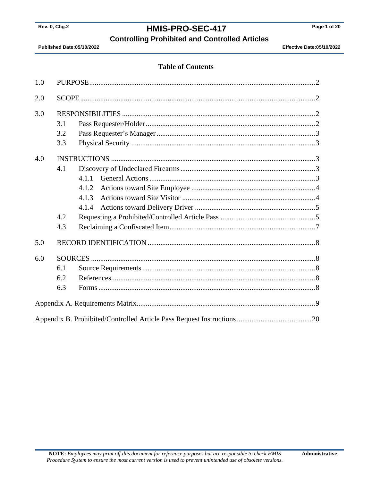### HMIS-PRO-SEC-417

**Controlling Prohibited and Controlled Articles** 

Published Date:05/10/2022

Effective Date:05/10/2022

#### **Table of Contents**

| 1.0 |     |       |  |
|-----|-----|-------|--|
| 2.0 |     |       |  |
| 3.0 |     |       |  |
|     | 3.1 |       |  |
|     | 3.2 |       |  |
|     | 3.3 |       |  |
| 4.0 |     |       |  |
|     | 4.1 |       |  |
|     |     | 4.1.1 |  |
|     |     | 4.1.2 |  |
|     |     | 4.1.3 |  |
|     |     | 4.1.4 |  |
|     | 4.2 |       |  |
|     | 4.3 |       |  |
| 5.0 |     |       |  |
| 6.0 |     |       |  |
|     | 6.1 |       |  |
|     | 6.2 |       |  |
|     | 6.3 |       |  |
|     |     |       |  |
|     |     |       |  |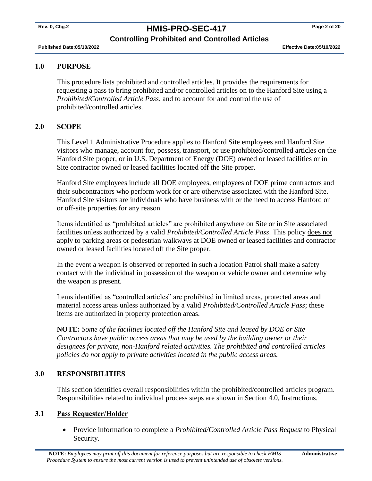# **Rev. 0, Chg.2 HMIS-PRO-SEC-417 Page 2 of 20**

#### **Controlling Prohibited and Controlled Articles**

**Published Date:05/10/2022 Effective Date:05/10/2022** 

#### <span id="page-3-0"></span>**1.0 PURPOSE**

This procedure lists prohibited and controlled articles. It provides the requirements for requesting a pass to bring prohibited and/or controlled articles on to the Hanford Site using a *Prohibited/Controlled Article Pass*, and to account for and control the use of prohibited/controlled articles.

#### <span id="page-3-1"></span>**2.0 SCOPE**

This Level 1 Administrative Procedure applies to Hanford Site employees and Hanford Site visitors who manage, account for, possess, transport, or use prohibited/controlled articles on the Hanford Site proper, or in U.S. Department of Energy (DOE) owned or leased facilities or in Site contractor owned or leased facilities located off the Site proper.

Hanford Site employees include all DOE employees, employees of DOE prime contractors and their subcontractors who perform work for or are otherwise associated with the Hanford Site. Hanford Site visitors are individuals who have business with or the need to access Hanford on or off-site properties for any reason.

Items identified as "prohibited articles" are prohibited anywhere on Site or in Site associated facilities unless authorized by a valid *Prohibited/Controlled Article Pass*. This policy does not apply to parking areas or pedestrian walkways at DOE owned or leased facilities and contractor owned or leased facilities located off the Site proper.

In the event a weapon is observed or reported in such a location Patrol shall make a safety contact with the individual in possession of the weapon or vehicle owner and determine why the weapon is present.

Items identified as "controlled articles" are prohibited in limited areas, protected areas and material access areas unless authorized by a valid *Prohibited/Controlled Article Pass*; these items are authorized in property protection areas.

**NOTE:** *Some of the facilities located off the Hanford Site and leased by DOE or Site Contractors have public access areas that may be used by the building owner or their designees for private, non-Hanford related activities. The prohibited and controlled articles policies do not apply to private activities located in the public access areas.*

#### <span id="page-3-2"></span>**3.0 RESPONSIBILITIES**

This section identifies overall responsibilities within the prohibited/controlled articles program. Responsibilities related to individual process steps are shown in Section [4.0,](#page-4-2) Instructions.

#### <span id="page-3-3"></span>**3.1 Pass Requester/Holder**

 Provide information to complete a *Prohibited/Controlled Article Pass Request* to Physical Security.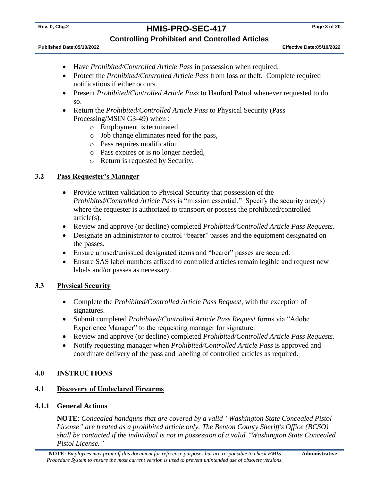# **Rev. 0, Chg.2 HMIS-PRO-SEC-417 Page 3 of 20**

#### **Controlling Prohibited and Controlled Articles**

**Published Date:05/10/2022 Effective Date:05/10/2022** 

- Have *Prohibited/Controlled Article Pass* in possession when required.
- Protect the *Prohibited/Controlled Article Pass* from loss or theft. Complete required notifications if either occurs.
- Present *Prohibited/Controlled Article Pass* to Hanford Patrol whenever requested to do so.
- Return the *Prohibited/Controlled Article Pass* to Physical Security (Pass Processing/MSIN G3-49) when :
	- o Employment is terminated
	- o Job change eliminates need for the pass,
	- o Pass requires modification
	- o Pass expires or is no longer needed,
	- o Return is requested by Security.

#### <span id="page-4-0"></span>**3.2 Pass Requester's Manager**

- Provide written validation to Physical Security that possession of the *Prohibited/Controlled Article Pass* is "mission essential." Specify the security area(s) where the requester is authorized to transport or possess the prohibited/controlled article(s).
- Review and approve (or decline) completed *Prohibited/Controlled Article Pass Requests.*
- Designate an administrator to control "bearer" passes and the equipment designated on the passes.
- Ensure unused/unissued designated items and "bearer" passes are secured.
- Ensure SAS label numbers affixed to controlled articles remain legible and request new labels and/or passes as necessary.

#### <span id="page-4-1"></span>**3.3 Physical Security**

- Complete the *Prohibited/Controlled Article Pass Request*, with the exception of signatures.
- Submit completed *Prohibited/Controlled Article Pass Request* forms via "Adobe Experience Manager" to the requesting manager for signature.
- Review and approve (or decline) completed *Prohibited/Controlled Article Pass Requests*.
- Notify requesting manager when *Prohibited/Controlled Article Pass* is approved and coordinate delivery of the pass and labeling of controlled articles as required.

#### <span id="page-4-2"></span>**4.0 INSTRUCTIONS**

#### <span id="page-4-3"></span>**4.1 Discovery of Undeclared Firearms**

#### <span id="page-4-4"></span>**4.1.1 General Actions**

**NOTE**: *Concealed handguns that are covered by a valid "Washington State Concealed Pistol License" are treated as a prohibited article only. The Benton County Sheriff's Office (BCSO) shall be contacted if the individual is not in possession of a valid "Washington State Concealed Pistol License."*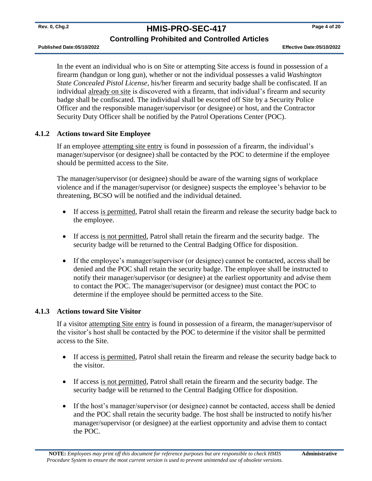### **Rev. 0, Chg.2 HMIS-PRO-SEC-417 Page 4 of 20**

#### **Controlling Prohibited and Controlled Articles**

In the event an individual who is on Site or attempting Site access is found in possession of a firearm (handgun or long gun), whether or not the individual possesses a valid *Washington State Concealed Pistol License*, his/her firearm and security badge shall be confiscated. If an individual already on site is discovered with a firearm, that individual's firearm and security badge shall be confiscated. The individual shall be escorted off Site by a Security Police Officer and the responsible manager/supervisor (or designee) or host, and the Contractor Security Duty Officer shall be notified by the Patrol Operations Center (POC).

#### <span id="page-5-0"></span>**4.1.2 Actions toward Site Employee**

If an employee attempting site entry is found in possession of a firearm, the individual's manager/supervisor (or designee) shall be contacted by the POC to determine if the employee should be permitted access to the Site.

The manager/supervisor (or designee) should be aware of the warning signs of workplace violence and if the manager/supervisor (or designee) suspects the employee's behavior to be threatening, BCSO will be notified and the individual detained.

- If access is permitted, Patrol shall retain the firearm and release the security badge back to the employee.
- If access is not permitted, Patrol shall retain the firearm and the security badge. The security badge will be returned to the Central Badging Office for disposition.
- If the employee's manager/supervisor (or designee) cannot be contacted, access shall be denied and the POC shall retain the security badge. The employee shall be instructed to notify their manager/supervisor (or designee) at the earliest opportunity and advise them to contact the POC. The manager/supervisor (or designee) must contact the POC to determine if the employee should be permitted access to the Site.

#### <span id="page-5-1"></span>**4.1.3 Actions toward Site Visitor**

If a visitor attempting Site entry is found in possession of a firearm, the manager/supervisor of the visitor's host shall be contacted by the POC to determine if the visitor shall be permitted access to the Site.

- If access is permitted, Patrol shall retain the firearm and release the security badge back to the visitor.
- If access is not permitted, Patrol shall retain the firearm and the security badge. The security badge will be returned to the Central Badging Office for disposition.
- If the host's manager/supervisor (or designee) cannot be contacted, access shall be denied and the POC shall retain the security badge. The host shall be instructed to notify his/her manager/supervisor (or designee) at the earliest opportunity and advise them to contact the POC.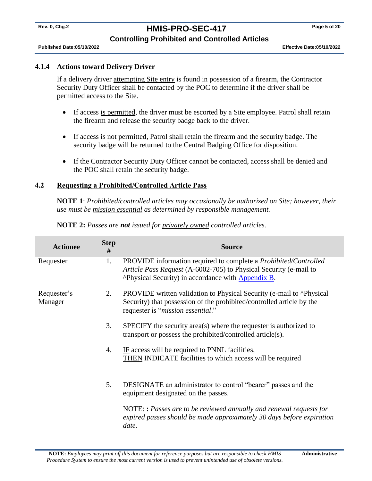# **Rev. 0, Chg.2 HMIS-PRO-SEC-417 Page 5 of 20**

#### **Controlling Prohibited and Controlled Articles**

**Published Date:05/10/2022 Effective Date:05/10/2022** 

#### <span id="page-6-0"></span>**4.1.4 Actions toward Delivery Driver**

If a delivery driver attempting Site entry is found in possession of a firearm, the Contractor Security Duty Officer shall be contacted by the POC to determine if the driver shall be permitted access to the Site.

- If access is permitted, the driver must be escorted by a Site employee. Patrol shall retain the firearm and release the security badge back to the driver.
- If access is not permitted, Patrol shall retain the firearm and the security badge. The security badge will be returned to the Central Badging Office for disposition.
- If the Contractor Security Duty Officer cannot be contacted, access shall be denied and the POC shall retain the security badge.

#### <span id="page-6-1"></span>**4.2 Requesting a Prohibited/Controlled Article Pass**

**NOTE 1**: *Prohibited/controlled articles may occasionally be authorized on Site; however, their use must be mission essential as determined by responsible management.*

| <b>Actionee</b>        | <b>Step</b><br># | <b>Source</b>                                                                                                                                                                                                             |
|------------------------|------------------|---------------------------------------------------------------------------------------------------------------------------------------------------------------------------------------------------------------------------|
| Requester              | 1.               | PROVIDE information required to complete a <i>Prohibited/Controlled</i><br>Article Pass Request (A-6002-705) to Physical Security (e-mail to<br>"> <sup>^</sup> Physical Security) in accordance with <b>Appendix B</b> . |
| Requester's<br>Manager | 2.               | PROVIDE written validation to Physical Security (e-mail to ^Physical<br>Security) that possession of the prohibited/controlled article by the<br>requester is "mission essential."                                        |
|                        | 3.               | SPECIFY the security area(s) where the requester is authorized to<br>transport or possess the prohibited/controlled article(s).                                                                                           |
|                        | 4.               | IF access will be required to PNNL facilities,<br>THEN INDICATE facilities to which access will be required                                                                                                               |
|                        | 5.               | DESIGNATE an administrator to control "bearer" passes and the<br>equipment designated on the passes.                                                                                                                      |
|                        |                  | NOTE:: Passes are to be reviewed annually and renewal requests for<br>expired passes should be made approximately 30 days before expiration<br>date.                                                                      |

**NOTE 2:** *Passes are not issued for privately owned controlled articles.*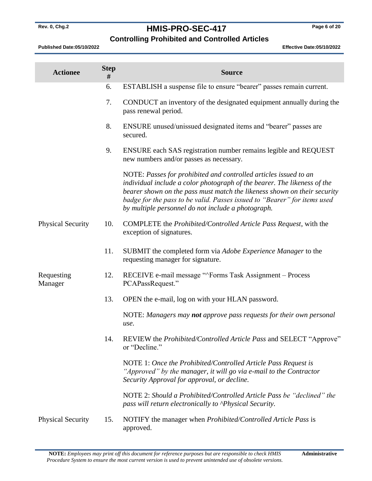# **Rev. 0, Chg.2 HMIS-PRO-SEC-417 Page 6 of 20**

### **Controlling Prohibited and Controlled Articles**

| <b>Actionee</b>          | <b>Step</b><br># | <b>Source</b>                                                                                                                                                                                                                                                                                                                                              |
|--------------------------|------------------|------------------------------------------------------------------------------------------------------------------------------------------------------------------------------------------------------------------------------------------------------------------------------------------------------------------------------------------------------------|
|                          | 6.               | ESTABLISH a suspense file to ensure "bearer" passes remain current.                                                                                                                                                                                                                                                                                        |
|                          | 7.               | CONDUCT an inventory of the designated equipment annually during the<br>pass renewal period.                                                                                                                                                                                                                                                               |
|                          | 8.               | ENSURE unused/unissued designated items and "bearer" passes are<br>secured.                                                                                                                                                                                                                                                                                |
|                          | 9.               | ENSURE each SAS registration number remains legible and REQUEST<br>new numbers and/or passes as necessary.                                                                                                                                                                                                                                                 |
|                          |                  | NOTE: Passes for prohibited and controlled articles issued to an<br>individual include a color photograph of the bearer. The likeness of the<br>bearer shown on the pass must match the likeness shown on their security<br>badge for the pass to be valid. Passes issued to "Bearer" for items used<br>by multiple personnel do not include a photograph. |
| <b>Physical Security</b> | 10.              | COMPLETE the Prohibited/Controlled Article Pass Request, with the<br>exception of signatures.                                                                                                                                                                                                                                                              |
|                          | 11.              | SUBMIT the completed form via Adobe Experience Manager to the<br>requesting manager for signature.                                                                                                                                                                                                                                                         |
| Requesting<br>Manager    | 12.              | RECEIVE e-mail message "^Forms Task Assignment – Process<br>PCAPassRequest."                                                                                                                                                                                                                                                                               |
|                          | 13.              | OPEN the e-mail, log on with your HLAN password.                                                                                                                                                                                                                                                                                                           |
|                          |                  | NOTE: Managers may not approve pass requests for their own personal<br>use.                                                                                                                                                                                                                                                                                |
|                          | 14.              | REVIEW the <i>Prohibited/Controlled Article Pass</i> and SELECT "Approve"<br>or "Decline."                                                                                                                                                                                                                                                                 |
|                          |                  | NOTE 1: Once the Prohibited/Controlled Article Pass Request is<br>"Approved" by the manager, it will go via e-mail to the Contractor<br>Security Approval for approval, or decline.                                                                                                                                                                        |
|                          |                  | NOTE 2: Should a Prohibited/Controlled Article Pass be "declined" the<br>pass will return electronically to <i>Physical Security</i> .                                                                                                                                                                                                                     |
| <b>Physical Security</b> | 15.              | NOTIFY the manager when <i>Prohibited/Controlled Article Pass</i> is<br>approved.                                                                                                                                                                                                                                                                          |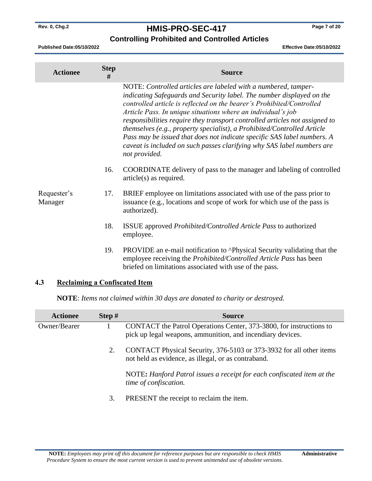# **Rev. 0, Chg.2 HMIS-PRO-SEC-417 Page 7 of 20**

#### **Controlling Prohibited and Controlled Articles**

**Published Date:05/10/2022 Effective Date:05/10/2022** 

| <b>Actionee</b>        | <b>Step</b><br># | <b>Source</b>                                                                                                                                                                                                                                                                                                                                                                                                                                                                                                                                                                                                    |
|------------------------|------------------|------------------------------------------------------------------------------------------------------------------------------------------------------------------------------------------------------------------------------------------------------------------------------------------------------------------------------------------------------------------------------------------------------------------------------------------------------------------------------------------------------------------------------------------------------------------------------------------------------------------|
|                        |                  | NOTE: Controlled articles are labeled with a numbered, tamper-<br>indicating Safeguards and Security label. The number displayed on the<br>controlled article is reflected on the bearer's Prohibited/Controlled<br>Article Pass. In unique situations where an individual's job<br>responsibilities require they transport controlled articles not assigned to<br>themselves (e.g., property specialist), a Prohibited/Controlled Article<br>Pass may be issued that does not indicate specific SAS label numbers. A<br>caveat is included on such passes clarifying why SAS label numbers are<br>not provided. |
|                        | 16.              | COORDINATE delivery of pass to the manager and labeling of controlled<br>$article(s)$ as required.                                                                                                                                                                                                                                                                                                                                                                                                                                                                                                               |
| Requester's<br>Manager | 17.              | BRIEF employee on limitations associated with use of the pass prior to<br>issuance (e.g., locations and scope of work for which use of the pass is<br>authorized).                                                                                                                                                                                                                                                                                                                                                                                                                                               |
|                        | 18.              | <b>ISSUE</b> approved <i>Prohibited/Controlled Article Pass</i> to authorized<br>employee.                                                                                                                                                                                                                                                                                                                                                                                                                                                                                                                       |
|                        | 19.              | PROVIDE an e-mail notification to ^Physical Security validating that the<br>employee receiving the Prohibited/Controlled Article Pass has been<br>briefed on limitations associated with use of the pass.                                                                                                                                                                                                                                                                                                                                                                                                        |

#### <span id="page-8-0"></span>**4.3 Reclaiming a Confiscated Item**

**NOTE**: *Items not claimed within 30 days are donated to charity or destroyed.*

| <b>Actionee</b> | Step $#$ | <b>Source</b>                                                                                                                     |
|-----------------|----------|-----------------------------------------------------------------------------------------------------------------------------------|
| Owner/Bearer    |          | CONTACT the Patrol Operations Center, 373-3800, for instructions to<br>pick up legal weapons, ammunition, and incendiary devices. |
|                 | 2.       | CONTACT Physical Security, 376-5103 or 373-3932 for all other items<br>not held as evidence, as illegal, or as contraband.        |
|                 |          | NOTE: Hanford Patrol issues a receipt for each confiscated item at the<br>time of confiscation.                                   |
|                 | 3.       | PRESENT the receipt to reclaim the item.                                                                                          |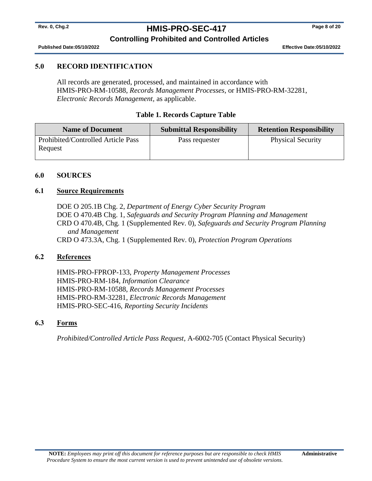# **Rev. 0, Chg.2 HMIS-PRO-SEC-417 Page 8 of 20**

#### **Controlling Prohibited and Controlled Articles**

**Published Date:05/10/2022 Effective Date:05/10/2022** 

#### <span id="page-9-0"></span>**5.0 RECORD IDENTIFICATION**

All records are generated, processed, and maintained in accordance with HMIS-PRO-RM-10588, *Records Management Processes,* or HMIS-PRO-RM-32281, *Electronic Records Management,* as applicable.

#### **Table 1. Records Capture Table**

| <b>Name of Document</b>                       | <b>Submittal Responsibility</b> | <b>Retention Responsibility</b> |
|-----------------------------------------------|---------------------------------|---------------------------------|
| Prohibited/Controlled Article Pass<br>Request | Pass requester                  | <b>Physical Security</b>        |

#### <span id="page-9-1"></span>**6.0 SOURCES**

#### <span id="page-9-2"></span>**6.1 Source Requirements**

DOE O 205.1B Chg. 2, *Department of Energy Cyber Security Program* DOE O 470.4B Chg. 1, *Safeguards and Security Program Planning and Management* CRD O 470.4B, Chg. 1 (Supplemented Rev. 0), *Safeguards and Security Program Planning and Management* CRD O 473.3A, Chg. 1 (Supplemented Rev. 0), *Protection Program Operations*

#### <span id="page-9-3"></span>**6.2 References**

HMIS-PRO-FPROP-133, *Property Management Processes* HMIS-PRO-RM-184, *Information Clearance* HMIS-PRO-RM-10588, *Records Management Processes* HMIS-PRO-RM-32281, *Electronic Records Management* HMIS-PRO-SEC-416, *Reporting Security Incidents*

#### <span id="page-9-4"></span>**6.3 Forms**

*Prohibited/Controlled Article Pass Request*, A-6002-705 (Contact Physical Security)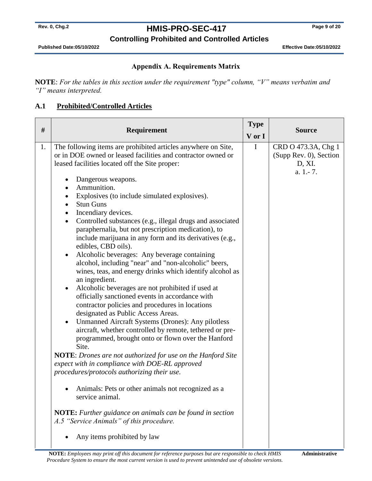# **Rev. 0, Chg.2 HMIS-PRO-SEC-417 Page 9 of 20**

### **Controlling Prohibited and Controlled Articles**

**Published Date:05/10/2022 Effective Date:05/10/2022** 

#### **Appendix A. Requirements Matrix**

<span id="page-10-0"></span>**NOTE**: *For the tables in this section under the requirement "type" column, "V" means verbatim and "I" means interpreted.*

#### **A.1 Prohibited/Controlled Articles**

| #  | Requirement                                                                                                                                                                                                                                                                                                                                                                                                                                                                                                                                                                                                                                                                                                                                                                                                                                                                                                                                                                                                                                                                                                                                                                                                                                                                                                                                                                                                                                                                                                                                                                   | <b>Type</b><br>V or I | <b>Source</b>                                                       |
|----|-------------------------------------------------------------------------------------------------------------------------------------------------------------------------------------------------------------------------------------------------------------------------------------------------------------------------------------------------------------------------------------------------------------------------------------------------------------------------------------------------------------------------------------------------------------------------------------------------------------------------------------------------------------------------------------------------------------------------------------------------------------------------------------------------------------------------------------------------------------------------------------------------------------------------------------------------------------------------------------------------------------------------------------------------------------------------------------------------------------------------------------------------------------------------------------------------------------------------------------------------------------------------------------------------------------------------------------------------------------------------------------------------------------------------------------------------------------------------------------------------------------------------------------------------------------------------------|-----------------------|---------------------------------------------------------------------|
| 1. | The following items are prohibited articles anywhere on Site,<br>or in DOE owned or leased facilities and contractor owned or<br>leased facilities located off the Site proper:<br>Dangerous weapons.<br>$\bullet$<br>Ammunition.<br>Explosives (to include simulated explosives).<br>$\bullet$<br><b>Stun Guns</b><br>$\bullet$<br>Incendiary devices.<br>$\bullet$<br>Controlled substances (e.g., illegal drugs and associated<br>$\bullet$<br>paraphernalia, but not prescription medication), to<br>include marijuana in any form and its derivatives (e.g.,<br>edibles, CBD oils).<br>Alcoholic beverages: Any beverage containing<br>$\bullet$<br>alcohol, including "near" and "non-alcoholic" beers,<br>wines, teas, and energy drinks which identify alcohol as<br>an ingredient.<br>Alcoholic beverages are not prohibited if used at<br>$\bullet$<br>officially sanctioned events in accordance with<br>contractor policies and procedures in locations<br>designated as Public Access Areas.<br><b>Unmanned Aircraft Systems (Drones): Any pilotless</b><br>$\bullet$<br>aircraft, whether controlled by remote, tethered or pre-<br>programmed, brought onto or flown over the Hanford<br>Site.<br><b>NOTE:</b> Drones are not authorized for use on the Hanford Site<br>expect with in compliance with DOE-RL approved<br>procedures/protocols authorizing their use.<br>Animals: Pets or other animals not recognized as a<br>service animal.<br><b>NOTE:</b> Further guidance on animals can be found in section<br>A.5 "Service Animals" of this procedure. | $\mathbf I$           | CRD O 473.3A, Chg 1<br>(Supp Rev. 0), Section<br>D, XI.<br>a. 1.-7. |
|    | Any items prohibited by law                                                                                                                                                                                                                                                                                                                                                                                                                                                                                                                                                                                                                                                                                                                                                                                                                                                                                                                                                                                                                                                                                                                                                                                                                                                                                                                                                                                                                                                                                                                                                   |                       |                                                                     |

**NOTE:** *Employees may print off this document for reference purposes but are responsible to check HMIS Procedure System to ensure the most current version is used to prevent unintended use of obsolete versions.*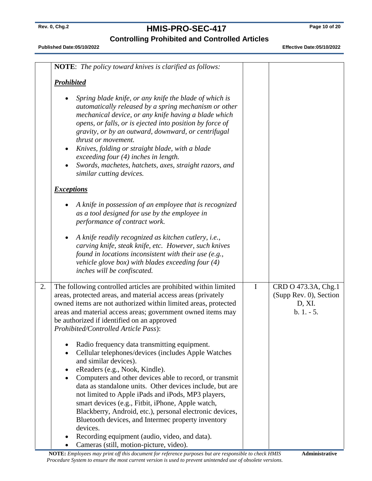# **Rev. 0, Chg.2 HMIS-PRO-SEC-417 Page 10 of 20**

**Controlling Prohibited and Controlled Articles**

|    | <b>NOTE:</b> The policy toward knives is clarified as follows:                                                                                                                                                                                                                                                                                                                                                                                                                                                                                                |             |                                                                         |
|----|---------------------------------------------------------------------------------------------------------------------------------------------------------------------------------------------------------------------------------------------------------------------------------------------------------------------------------------------------------------------------------------------------------------------------------------------------------------------------------------------------------------------------------------------------------------|-------------|-------------------------------------------------------------------------|
|    | <b>Prohibited</b>                                                                                                                                                                                                                                                                                                                                                                                                                                                                                                                                             |             |                                                                         |
|    | Spring blade knife, or any knife the blade of which is<br>automatically released by a spring mechanism or other<br>mechanical device, or any knife having a blade which<br>opens, or falls, or is ejected into position by force of<br>gravity, or by an outward, downward, or centrifugal<br>thrust or movement.<br>Knives, folding or straight blade, with a blade<br>$\bullet$<br>exceeding four (4) inches in length.<br>Swords, machetes, hatchets, axes, straight razors, and<br>$\bullet$<br>similar cutting devices.                                  |             |                                                                         |
|    | <b>Exceptions</b>                                                                                                                                                                                                                                                                                                                                                                                                                                                                                                                                             |             |                                                                         |
|    | A knife in possession of an employee that is recognized<br>as a tool designed for use by the employee in<br>performance of contract work.                                                                                                                                                                                                                                                                                                                                                                                                                     |             |                                                                         |
|    | A knife readily recognized as kitchen cutlery, i.e.,<br>$\bullet$<br>carving knife, steak knife, etc. However, such knives<br>found in locations inconsistent with their use $(e.g.,$<br>vehicle glove box) with blades exceeding four $(4)$<br>inches will be confiscated.                                                                                                                                                                                                                                                                                   |             |                                                                         |
| 2. | The following controlled articles are prohibited within limited<br>areas, protected areas, and material access areas (privately<br>owned items are not authorized within limited areas, protected<br>areas and material access areas; government owned items may<br>be authorized if identified on an approved<br>Prohibited/Controlled Article Pass):                                                                                                                                                                                                        | $\mathbf I$ | CRD O 473.3A, Chg.1<br>(Supp Rev. 0), Section<br>D, XI.<br>$b. 1. - 5.$ |
|    | Radio frequency data transmitting equipment.<br>Cellular telephones/devices (includes Apple Watches<br>$\bullet$<br>and similar devices).<br>eReaders (e.g., Nook, Kindle).<br>٠<br>Computers and other devices able to record, or transmit<br>$\bullet$<br>data as standalone units. Other devices include, but are<br>not limited to Apple iPads and iPods, MP3 players,<br>smart devices (e.g., Fitbit, iPhone, Apple watch,<br>Blackberry, Android, etc.), personal electronic devices,<br>Bluetooth devices, and Intermec property inventory<br>devices. |             |                                                                         |
|    | Recording equipment (audio, video, and data).<br>٠<br>Cameras (still, motion-picture, video).                                                                                                                                                                                                                                                                                                                                                                                                                                                                 |             |                                                                         |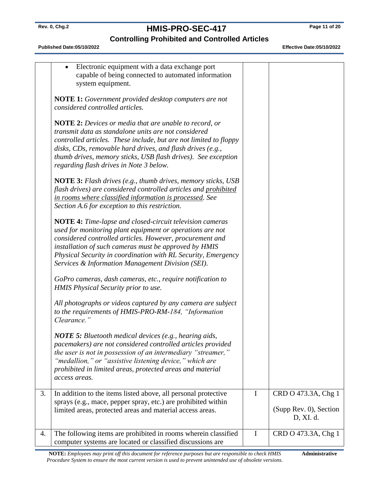# **Rev. 0, Chg.2 HMIS-PRO-SEC-417 Page 11 of 20**

## **Controlling Prohibited and Controlled Articles**

**Published Date:05/10/2022 Effective Date:05/10/2022** 

|    | Electronic equipment with a data exchange port<br>capable of being connected to automated information<br>system equipment.                                                                                                                                                                                                                                           |   |                                               |
|----|----------------------------------------------------------------------------------------------------------------------------------------------------------------------------------------------------------------------------------------------------------------------------------------------------------------------------------------------------------------------|---|-----------------------------------------------|
|    | <b>NOTE 1:</b> Government provided desktop computers are not<br>considered controlled articles.                                                                                                                                                                                                                                                                      |   |                                               |
|    | <b>NOTE 2:</b> Devices or media that are unable to record, or<br>transmit data as standalone units are not considered<br>controlled articles. These include, but are not limited to floppy<br>disks, CDs, removable hard drives, and flash drives (e.g.,<br>thumb drives, memory sticks, USB flash drives). See exception<br>regarding flash drives in Note 3 below. |   |                                               |
|    | <b>NOTE 3:</b> Flash drives (e.g., thumb drives, memory sticks, USB<br>flash drives) are considered controlled articles and prohibited<br>in rooms where classified information is processed. See<br>Section A.6 for exception to this restriction.                                                                                                                  |   |                                               |
|    | NOTE 4: Time-lapse and closed-circuit television cameras<br>used for monitoring plant equipment or operations are not<br>considered controlled articles. However, procurement and<br>installation of such cameras must be approved by HMIS<br>Physical Security in coordination with RL Security, Emergency<br>Services & Information Management Division (SEI).     |   |                                               |
|    | GoPro cameras, dash cameras, etc., require notification to<br>HMIS Physical Security prior to use.                                                                                                                                                                                                                                                                   |   |                                               |
|    | All photographs or videos captured by any camera are subject<br>to the requirements of HMIS-PRO-RM-184, "Information<br>Clearance."                                                                                                                                                                                                                                  |   |                                               |
|    | <b>NOTE 5:</b> Bluetooth medical devices (e.g., hearing aids,<br>pacemakers) are not considered controlled articles provided<br>the user is not in possession of an intermediary "streamer,"<br>"medallion," or "assistive listening device," which are<br>prohibited in limited areas, protected areas and material<br>access areas.                                |   |                                               |
| 3. | In addition to the items listed above, all personal protective<br>sprays (e.g., mace, pepper spray, etc.) are prohibited within<br>limited areas, protected areas and material access areas.                                                                                                                                                                         | I | CRD O 473.3A, Chg 1<br>(Supp Rev. 0), Section |
|    |                                                                                                                                                                                                                                                                                                                                                                      |   | D, XI. d.                                     |
| 4. | The following items are prohibited in rooms wherein classified<br>computer systems are located or classified discussions are                                                                                                                                                                                                                                         | I | CRD O 473.3A, Chg 1                           |

**NOTE:** *Employees may print off this document for reference purposes but are responsible to check HMIS Procedure System to ensure the most current version is used to prevent unintended use of obsolete versions.* **Administrative**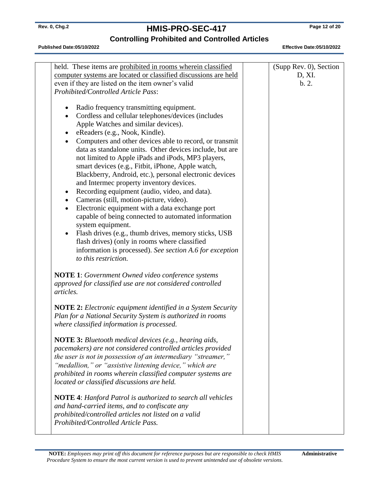# **Rev. 0, Chg.2 HMIS-PRO-SEC-417 Page 12 of 20**

### **Controlling Prohibited and Controlled Articles**

| held. These items are prohibited in rooms wherein classified<br>computer systems are located or classified discussions are held<br>even if they are listed on the item owner's valid                                                                                                                                                                                  | (Supp Rev. 0), Section<br>D, XI.<br>b.2. |
|-----------------------------------------------------------------------------------------------------------------------------------------------------------------------------------------------------------------------------------------------------------------------------------------------------------------------------------------------------------------------|------------------------------------------|
| Prohibited/Controlled Article Pass:<br>Radio frequency transmitting equipment.<br>Cordless and cellular telephones/devices (includes<br>Apple Watches and similar devices).<br>eReaders (e.g., Nook, Kindle).<br>Computers and other devices able to record, or transmit<br>data as standalone units. Other devices include, but are                                  |                                          |
| not limited to Apple iPads and iPods, MP3 players,<br>smart devices (e.g., Fitbit, iPhone, Apple watch,<br>Blackberry, Android, etc.), personal electronic devices<br>and Intermec property inventory devices.<br>Recording equipment (audio, video, and data).<br>Cameras (still, motion-picture, video).<br>Electronic equipment with a data exchange port          |                                          |
| capable of being connected to automated information<br>system equipment.<br>Flash drives (e.g., thumb drives, memory sticks, USB<br>flash drives) (only in rooms where classified<br>information is processed). See section A.6 for exception<br>to this restriction.                                                                                                 |                                          |
| <b>NOTE 1:</b> Government Owned video conference systems<br>approved for classified use are not considered controlled<br>articles.                                                                                                                                                                                                                                    |                                          |
| <b>NOTE 2:</b> Electronic equipment identified in a System Security<br>Plan for a National Security System is authorized in rooms<br>where classified information is processed.                                                                                                                                                                                       |                                          |
| <b>NOTE 3:</b> Bluetooth medical devices (e.g., hearing aids,<br>pacemakers) are not considered controlled articles provided<br>the user is not in possession of an intermediary "streamer,"<br>"medallion," or "assistive listening device," which are<br>prohibited in rooms wherein classified computer systems are<br>located or classified discussions are held. |                                          |
| <b>NOTE 4:</b> Hanford Patrol is authorized to search all vehicles<br>and hand-carried items, and to confiscate any<br>prohibited/controlled articles not listed on a valid<br>Prohibited/Controlled Article Pass.                                                                                                                                                    |                                          |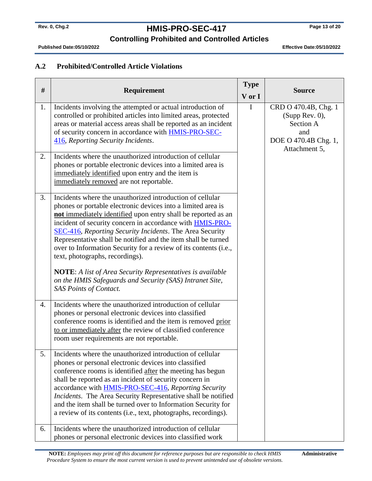# **Rev. 0, Chg.2 HMIS-PRO-SEC-417 Page 13 of 20**

#### **Controlling Prohibited and Controlled Articles**

**Published Date:05/10/2022 Effective Date:05/10/2022** 

#### **A.2 Prohibited/Controlled Article Violations**

| #        | Requirement                                                                                                                                                                                                                                                                                                                                                                                                                                                                                                                                                                                                                                                   | <b>Type</b><br>V or I | <b>Source</b>                                                                                       |
|----------|---------------------------------------------------------------------------------------------------------------------------------------------------------------------------------------------------------------------------------------------------------------------------------------------------------------------------------------------------------------------------------------------------------------------------------------------------------------------------------------------------------------------------------------------------------------------------------------------------------------------------------------------------------------|-----------------------|-----------------------------------------------------------------------------------------------------|
| 1.<br>2. | Incidents involving the attempted or actual introduction of<br>controlled or prohibited articles into limited areas, protected<br>areas or material access areas shall be reported as an incident<br>of security concern in accordance with <b>HMIS-PRO-SEC-</b><br>416, Reporting Security Incidents.<br>Incidents where the unauthorized introduction of cellular<br>phones or portable electronic devices into a limited area is<br>immediately identified upon entry and the item is<br>immediately removed are not reportable.                                                                                                                           | $\mathbf I$           | CRD O 470.4B, Chg. 1<br>(Supp Rev. 0),<br>Section A<br>and<br>DOE O 470.4B Chg. 1,<br>Attachment 5, |
| 3.       | Incidents where the unauthorized introduction of cellular<br>phones or portable electronic devices into a limited area is<br>not immediately identified upon entry shall be reported as an<br>incident of security concern in accordance with <b>HMIS-PRO-</b><br>SEC-416, Reporting Security Incidents. The Area Security<br>Representative shall be notified and the item shall be turned<br>over to Information Security for a review of its contents (i.e.,<br>text, photographs, recordings).<br><b>NOTE:</b> A list of Area Security Representatives is available<br>on the HMIS Safeguards and Security (SAS) Intranet Site,<br>SAS Points of Contact. |                       |                                                                                                     |
| 4.       | Incidents where the unauthorized introduction of cellular<br>phones or personal electronic devices into classified<br>conference rooms is identified and the item is removed prior<br>to or immediately after the review of classified conference<br>room user requirements are not reportable.                                                                                                                                                                                                                                                                                                                                                               |                       |                                                                                                     |
| 5.       | Incidents where the unauthorized introduction of cellular<br>phones or personal electronic devices into classified<br>conference rooms is identified after the meeting has begun<br>shall be reported as an incident of security concern in<br>accordance with <b>HMIS-PRO-SEC-416</b> , Reporting Security<br><i>Incidents</i> . The Area Security Representative shall be notified<br>and the item shall be turned over to Information Security for<br>a review of its contents (i.e., text, photographs, recordings).                                                                                                                                      |                       |                                                                                                     |
| 6.       | Incidents where the unauthorized introduction of cellular<br>phones or personal electronic devices into classified work                                                                                                                                                                                                                                                                                                                                                                                                                                                                                                                                       |                       |                                                                                                     |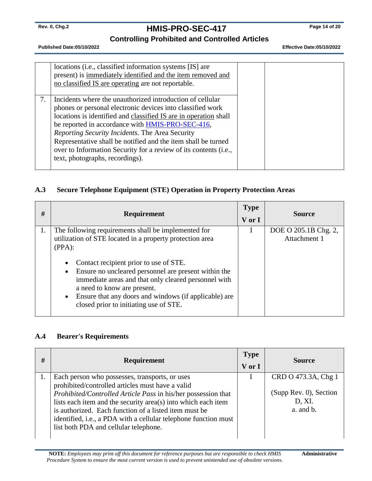# **Rev. 0, Chg.2 HMIS-PRO-SEC-417 Page 14 of 20**

**Controlling Prohibited and Controlled Articles**

**Published Date:05/10/2022 Effective Date:05/10/2022** 

|    | locations (i.e., classified information systems [IS] are<br>present) is immediately identified and the item removed and<br>no classified IS are operating are not reportable.                                                                                                                                                                                                                                                                                              |  |  |
|----|----------------------------------------------------------------------------------------------------------------------------------------------------------------------------------------------------------------------------------------------------------------------------------------------------------------------------------------------------------------------------------------------------------------------------------------------------------------------------|--|--|
| 7. | Incidents where the unauthorized introduction of cellular<br>phones or personal electronic devices into classified work<br>locations is identified and classified IS are in operation shall<br>be reported in accordance with HMIS-PRO-SEC-416,<br>Reporting Security Incidents. The Area Security<br>Representative shall be notified and the item shall be turned<br>over to Information Security for a review of its contents (i.e.,<br>text, photographs, recordings). |  |  |

#### **A.3 Secure Telephone Equipment (STE) Operation in Property Protection Areas**

| # | Requirement                                                                                                              | <b>Type</b><br>V or I | <b>Source</b>                        |
|---|--------------------------------------------------------------------------------------------------------------------------|-----------------------|--------------------------------------|
|   | The following requirements shall be implemented for<br>utilization of STE located in a property protection area          |                       | DOE O 205.1B Chg. 2,<br>Attachment 1 |
|   | $(PPA)$ :                                                                                                                |                       |                                      |
|   | Contact recipient prior to use of STE.<br>$\bullet$<br>Ensure no uncleared personnel are present within the<br>$\bullet$ |                       |                                      |
|   | immediate areas and that only cleared personnel with<br>a need to know are present.                                      |                       |                                      |
|   | Ensure that any doors and windows (if applicable) are<br>$\bullet$<br>closed prior to initiating use of STE.             |                       |                                      |

#### **A.4 Bearer's Requirements**

| # | <b>Requirement</b>                                                                                                                                                                                                                                                                                                                                                                                        | <b>Type</b><br>V or I | <b>Source</b>                                                        |
|---|-----------------------------------------------------------------------------------------------------------------------------------------------------------------------------------------------------------------------------------------------------------------------------------------------------------------------------------------------------------------------------------------------------------|-----------------------|----------------------------------------------------------------------|
|   | Each person who possesses, transports, or uses<br>prohibited/controlled articles must have a valid<br>Prohibited/Controlled Article Pass in his/her possession that<br>lists each item and the security area(s) into which each item<br>is authorized. Each function of a listed item must be<br>identified, i.e., a PDA with a cellular telephone function must<br>list both PDA and cellular telephone. |                       | CRD O 473.3A, Chg 1<br>(Supp Rev. 0), Section<br>D, XI.<br>a. and b. |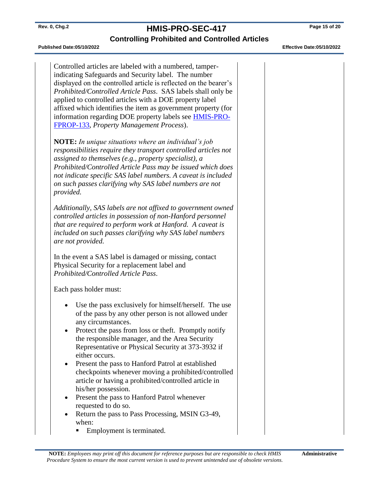### **Rev. 0, Chg.2 HMIS-PRO-SEC-417 Page 15 of 20 Controlling Prohibited and Controlled Articles**

#### **Published Date:05/10/2022 Effective Date:05/10/2022**

Controlled articles are labeled with a numbered, tamperindicating Safeguards and Security label. The number displayed on the controlled article is reflected on the bearer's *Prohibited/Controlled Article Pass*. SAS labels shall only be applied to controlled articles with a DOE property label affixed which identifies the item as government property (for information regarding DOE property labels see [HMIS-PRO-](http://msc.ms.rl.gov/msaps/procedure.cfm/MSC-PRO-FPROP-133)[FPROP-133,](http://msc.ms.rl.gov/msaps/procedure.cfm/MSC-PRO-FPROP-133) *Property Management Process*). **NOTE:** *In unique situations where an individual's job responsibilities require they transport controlled articles not assigned to themselves (e.g., property specialist), a Prohibited/Controlled Article Pass may be issued which does not indicate specific SAS label numbers. A caveat is included on such passes clarifying why SAS label numbers are not provided. Additionally, SAS labels are not affixed to government owned controlled articles in possession of non-Hanford personnel that are required to perform work at Hanford. A caveat is included on such passes clarifying why SAS label numbers are not provided.* In the event a SAS label is damaged or missing, contact Physical Security for a replacement label and *Prohibited/Controlled Article Pass*. Each pass holder must: Use the pass exclusively for himself/herself. The use of the pass by any other person is not allowed under any circumstances. • Protect the pass from loss or theft. Promptly notify the responsible manager, and the Area Security Representative or Physical Security at 373-3932 if either occurs. • Present the pass to Hanford Patrol at established checkpoints whenever moving a prohibited/controlled article or having a prohibited/controlled article in his/her possession. • Present the pass to Hanford Patrol whenever requested to do so. • Return the pass to Pass Processing, MSIN G3-49, when:

Employment is terminated.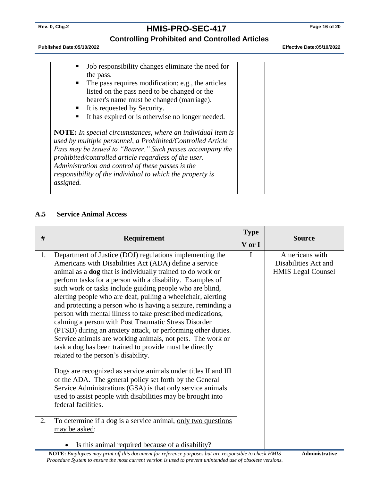# **Rev. 0, Chg.2 HMIS-PRO-SEC-417 Page 16 of 20**

### **Controlling Prohibited and Controlled Articles**

**Published Date:05/10/2022 Effective Date:05/10/2022** 

| Job responsibility changes eliminate the need for<br>the pass.<br>The pass requires modification; e.g., the articles<br>listed on the pass need to be changed or the<br>bearer's name must be changed (marriage).<br>It is requested by Security.<br>It has expired or is otherwise no longer needed.<br><b>NOTE:</b> In special circumstances, where an individual item is<br>used by multiple personnel, a Prohibited/Controlled Article<br>Pass may be issued to "Bearer." Such passes accompany the<br>prohibited/controlled article regardless of the user.<br>Administration and control of these passes is the<br>responsibility of the individual to which the property is<br>assigned. |  |
|-------------------------------------------------------------------------------------------------------------------------------------------------------------------------------------------------------------------------------------------------------------------------------------------------------------------------------------------------------------------------------------------------------------------------------------------------------------------------------------------------------------------------------------------------------------------------------------------------------------------------------------------------------------------------------------------------|--|
|-------------------------------------------------------------------------------------------------------------------------------------------------------------------------------------------------------------------------------------------------------------------------------------------------------------------------------------------------------------------------------------------------------------------------------------------------------------------------------------------------------------------------------------------------------------------------------------------------------------------------------------------------------------------------------------------------|--|

#### **A.5 Service Animal Access**

| #  | Requirement                                                                                                                                                                                                                                                                                                                                                                                                                                                                                                                                                                                                                                                                                                                                                                                                                                                                                                                                                                                                                                                                             | <b>Type</b><br>V or I | <b>Source</b>                                                       |
|----|-----------------------------------------------------------------------------------------------------------------------------------------------------------------------------------------------------------------------------------------------------------------------------------------------------------------------------------------------------------------------------------------------------------------------------------------------------------------------------------------------------------------------------------------------------------------------------------------------------------------------------------------------------------------------------------------------------------------------------------------------------------------------------------------------------------------------------------------------------------------------------------------------------------------------------------------------------------------------------------------------------------------------------------------------------------------------------------------|-----------------------|---------------------------------------------------------------------|
|    |                                                                                                                                                                                                                                                                                                                                                                                                                                                                                                                                                                                                                                                                                                                                                                                                                                                                                                                                                                                                                                                                                         |                       |                                                                     |
| 1. | Department of Justice (DOJ) regulations implementing the<br>Americans with Disabilities Act (ADA) define a service<br>animal as a <b>dog</b> that is individually trained to do work or<br>perform tasks for a person with a disability. Examples of<br>such work or tasks include guiding people who are blind,<br>alerting people who are deaf, pulling a wheelchair, alerting<br>and protecting a person who is having a seizure, reminding a<br>person with mental illness to take prescribed medications,<br>calming a person with Post Traumatic Stress Disorder<br>(PTSD) during an anxiety attack, or performing other duties.<br>Service animals are working animals, not pets. The work or<br>task a dog has been trained to provide must be directly<br>related to the person's disability.<br>Dogs are recognized as service animals under titles II and III<br>of the ADA. The general policy set forth by the General<br>Service Administrations (GSA) is that only service animals<br>used to assist people with disabilities may be brought into<br>federal facilities. | I                     | Americans with<br>Disabilities Act and<br><b>HMIS</b> Legal Counsel |
| 2. | To determine if a dog is a service animal, only two questions<br>may be asked:                                                                                                                                                                                                                                                                                                                                                                                                                                                                                                                                                                                                                                                                                                                                                                                                                                                                                                                                                                                                          |                       |                                                                     |
|    | Is this animal required because of a disability?                                                                                                                                                                                                                                                                                                                                                                                                                                                                                                                                                                                                                                                                                                                                                                                                                                                                                                                                                                                                                                        |                       |                                                                     |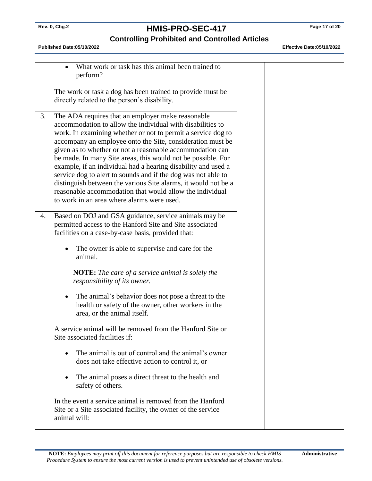# **Rev. 0, Chg.2 HMIS-PRO-SEC-417 Page 17 of 20**

### **Controlling Prohibited and Controlled Articles**

|    | What work or task has this animal been trained to<br>perform?                                                                                                                                                                                                                                                                                                                                                                                                                                                                                                                                                                                                                            |  |  |
|----|------------------------------------------------------------------------------------------------------------------------------------------------------------------------------------------------------------------------------------------------------------------------------------------------------------------------------------------------------------------------------------------------------------------------------------------------------------------------------------------------------------------------------------------------------------------------------------------------------------------------------------------------------------------------------------------|--|--|
|    | The work or task a dog has been trained to provide must be<br>directly related to the person's disability.                                                                                                                                                                                                                                                                                                                                                                                                                                                                                                                                                                               |  |  |
| 3. | The ADA requires that an employer make reasonable<br>accommodation to allow the individual with disabilities to<br>work. In examining whether or not to permit a service dog to<br>accompany an employee onto the Site, consideration must be<br>given as to whether or not a reasonable accommodation can<br>be made. In many Site areas, this would not be possible. For<br>example, if an individual had a hearing disability and used a<br>service dog to alert to sounds and if the dog was not able to<br>distinguish between the various Site alarms, it would not be a<br>reasonable accommodation that would allow the individual<br>to work in an area where alarms were used. |  |  |
| 4. | Based on DOJ and GSA guidance, service animals may be<br>permitted access to the Hanford Site and Site associated<br>facilities on a case-by-case basis, provided that:                                                                                                                                                                                                                                                                                                                                                                                                                                                                                                                  |  |  |
|    | The owner is able to supervise and care for the<br>animal.                                                                                                                                                                                                                                                                                                                                                                                                                                                                                                                                                                                                                               |  |  |
|    | <b>NOTE:</b> The care of a service animal is solely the<br>responsibility of its owner.                                                                                                                                                                                                                                                                                                                                                                                                                                                                                                                                                                                                  |  |  |
|    | The animal's behavior does not pose a threat to the<br>health or safety of the owner, other workers in the<br>area, or the animal itself.                                                                                                                                                                                                                                                                                                                                                                                                                                                                                                                                                |  |  |
|    | A service animal will be removed from the Hanford Site or<br>Site associated facilities if:                                                                                                                                                                                                                                                                                                                                                                                                                                                                                                                                                                                              |  |  |
|    | The animal is out of control and the animal's owner<br>does not take effective action to control it, or                                                                                                                                                                                                                                                                                                                                                                                                                                                                                                                                                                                  |  |  |
|    | The animal poses a direct threat to the health and<br>safety of others.                                                                                                                                                                                                                                                                                                                                                                                                                                                                                                                                                                                                                  |  |  |
|    | In the event a service animal is removed from the Hanford<br>Site or a Site associated facility, the owner of the service<br>animal will:                                                                                                                                                                                                                                                                                                                                                                                                                                                                                                                                                |  |  |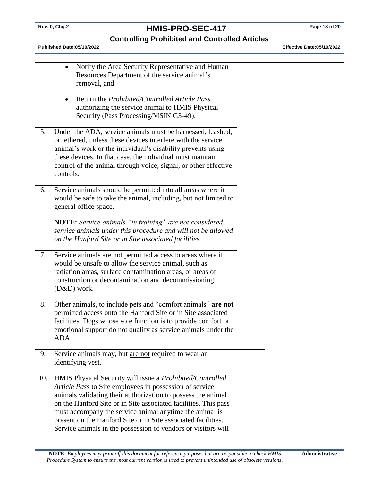# **Rev. 0, Chg.2 HMIS-PRO-SEC-417 Page 18 of 20**

### **Controlling Prohibited and Controlled Articles**

|     | Notify the Area Security Representative and Human<br>$\bullet$<br>Resources Department of the service animal's<br>removal, and<br>Return the Prohibited/Controlled Article Pass                                                                                                                                                                                                                                                                      |  |  |
|-----|------------------------------------------------------------------------------------------------------------------------------------------------------------------------------------------------------------------------------------------------------------------------------------------------------------------------------------------------------------------------------------------------------------------------------------------------------|--|--|
|     | authorizing the service animal to HMIS Physical<br>Security (Pass Processing/MSIN G3-49).                                                                                                                                                                                                                                                                                                                                                            |  |  |
| 5.  | Under the ADA, service animals must be harnessed, leashed,<br>or tethered, unless these devices interfere with the service<br>animal's work or the individual's disability prevents using<br>these devices. In that case, the individual must maintain<br>control of the animal through voice, signal, or other effective<br>controls.                                                                                                               |  |  |
| 6.  | Service animals should be permitted into all areas where it<br>would be safe to take the animal, including, but not limited to<br>general office space.                                                                                                                                                                                                                                                                                              |  |  |
|     | <b>NOTE:</b> Service animals "in training" are not considered<br>service animals under this procedure and will not be allowed<br>on the Hanford Site or in Site associated facilities.                                                                                                                                                                                                                                                               |  |  |
| 7.  | Service animals are not permitted access to areas where it<br>would be unsafe to allow the service animal, such as<br>radiation areas, surface contamination areas, or areas of<br>construction or decontamination and decommissioning<br>$(D&D)$ work.                                                                                                                                                                                              |  |  |
| 8.  | Other animals, to include pets and "comfort animals" are not<br>permitted access onto the Hanford Site or in Site associated<br>facilities. Dogs whose sole function is to provide comfort or<br>emotional support do not qualify as service animals under the<br>ADA.                                                                                                                                                                               |  |  |
| 9.  | Service animals may, but are not required to wear an<br>identifying vest.                                                                                                                                                                                                                                                                                                                                                                            |  |  |
| 10. | HMIS Physical Security will issue a Prohibited/Controlled<br>Article Pass to Site employees in possession of service<br>animals validating their authorization to possess the animal<br>on the Hanford Site or in Site associated facilities. This pass<br>must accompany the service animal anytime the animal is<br>present on the Hanford Site or in Site associated facilities.<br>Service animals in the possession of vendors or visitors will |  |  |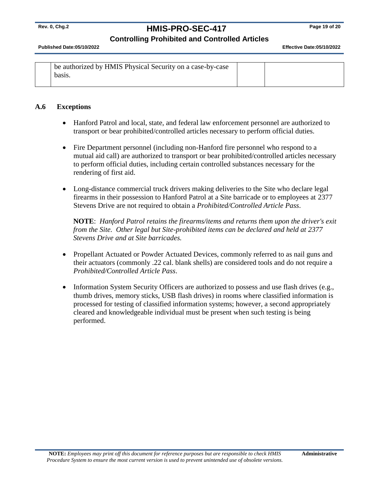# **Rev. 0, Chg.2 HMIS-PRO-SEC-417 Page 19 of 20**

#### **Controlling Prohibited and Controlled Articles**

**Published Date:05/10/2022 Effective Date:05/10/2022** 

| be authorized by HMIS Physical Security on a case-by-case |  |
|-----------------------------------------------------------|--|
| basis.                                                    |  |
|                                                           |  |

#### **A.6 Exceptions**

- Hanford Patrol and local, state, and federal law enforcement personnel are authorized to transport or bear prohibited/controlled articles necessary to perform official duties.
- Fire Department personnel (including non-Hanford fire personnel who respond to a mutual aid call) are authorized to transport or bear prohibited/controlled articles necessary to perform official duties, including certain controlled substances necessary for the rendering of first aid.
- Long-distance commercial truck drivers making deliveries to the Site who declare legal firearms in their possession to Hanford Patrol at a Site barricade or to employees at 2377 Stevens Drive are not required to obtain a *Prohibited/Controlled Article Pass*.

**NOTE**: *Hanford Patrol retains the firearms/items and returns them upon the driver's exit from the Site. Other legal but Site-prohibited items can be declared and held at 2377 Stevens Drive and at Site barricades.*

- Propellant Actuated or Powder Actuated Devices, commonly referred to as nail guns and their actuators (commonly .22 cal. blank shells) are considered tools and do not require a *Prohibited/Controlled Article Pass*.
- Information System Security Officers are authorized to possess and use flash drives (e.g., thumb drives, memory sticks, USB flash drives) in rooms where classified information is processed for testing of classified information systems; however, a second appropriately cleared and knowledgeable individual must be present when such testing is being performed.